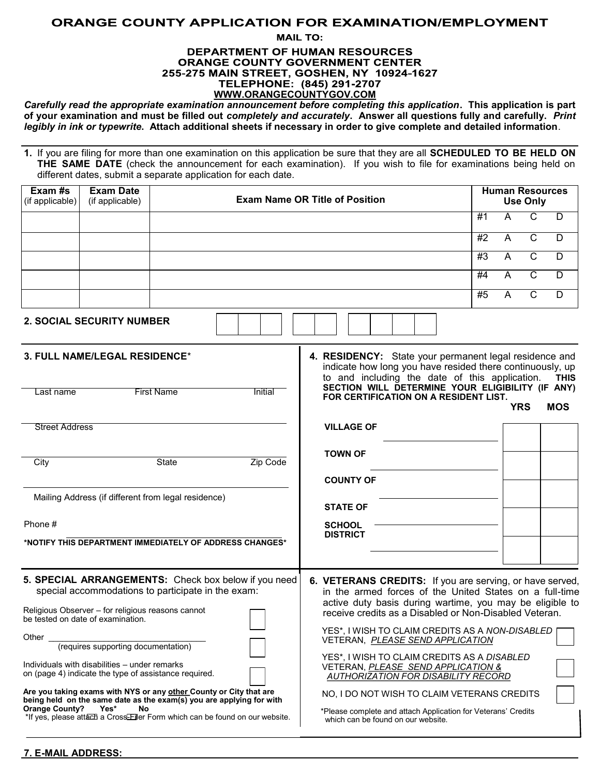## ORANGE COUNTY APPLICATION FOR EXAMINATION/EMPLOYMENT

**MAIL TO:** 

### **DEPARTMENT OF HUMAN RESOURCES** ORANGE COUNTY GOVERNMENT CENTER 255-275 MAIN STREET, GOSHEN, NY 10924-1627 TELEPHONE: (845) 291-2707 **WWW.ORANGECOUNTYGOV.COM**

*Carefully read the appropriate examination announcement before completing this application***. This application is part of your examination and must be filled out** *completely and accurately***. Answer all questions fully and carefully.** *Print legibly in ink or typewrite***. Attach additional sheets if necessary in order to give complete and detailed information**.

**1.** If you are filing for more than one examination on this application be sure that they are all **SCHEDULED TO BE HELD ON**  THE SAME DATE (check the announcement for each examination). If you wish to file for examinations being held on different dates, submit a separate application for each date.

| Exam #s<br>(if applicable) | <b>Exam Date</b><br>(if applicable) | <b>Exam Name OR Title of Position</b> | <b>Human Resources</b><br><b>Use Only</b> |   |  |   |
|----------------------------|-------------------------------------|---------------------------------------|-------------------------------------------|---|--|---|
|                            |                                     |                                       | #1                                        | A |  |   |
|                            |                                     |                                       | #2                                        | A |  |   |
|                            |                                     |                                       | #3                                        | A |  | Ð |
|                            |                                     |                                       | #4                                        | A |  | D |
|                            |                                     |                                       | #5                                        | A |  | Ð |

## **2. SOCIAL SECURITY NUMBER**

| 3. FULL NAME/LEGAL RESIDENCE*                                                                                                                                                                                                                                      | 4. RESIDENCY: State your permanent legal residence and<br>indicate how long you have resided there continuously, up<br>to and including the date of this application.<br><b>THIS</b><br>SECTION WILL DETERMINE YOUR ELIGIBILITY (IF ANY)                                                                                                                                        |  |  |  |
|--------------------------------------------------------------------------------------------------------------------------------------------------------------------------------------------------------------------------------------------------------------------|---------------------------------------------------------------------------------------------------------------------------------------------------------------------------------------------------------------------------------------------------------------------------------------------------------------------------------------------------------------------------------|--|--|--|
| <b>First Name</b><br>Initial<br>Last name                                                                                                                                                                                                                          | FOR CERTIFICATION ON A RESIDENT LIST.<br><b>YRS</b><br><b>MOS</b>                                                                                                                                                                                                                                                                                                               |  |  |  |
| <b>Street Address</b>                                                                                                                                                                                                                                              | <b>VILLAGE OF</b>                                                                                                                                                                                                                                                                                                                                                               |  |  |  |
| Zip Code<br>City<br><b>State</b>                                                                                                                                                                                                                                   | <b>TOWN OF</b>                                                                                                                                                                                                                                                                                                                                                                  |  |  |  |
|                                                                                                                                                                                                                                                                    | <b>COUNTY OF</b>                                                                                                                                                                                                                                                                                                                                                                |  |  |  |
| Mailing Address (if different from legal residence)                                                                                                                                                                                                                | <b>STATE OF</b>                                                                                                                                                                                                                                                                                                                                                                 |  |  |  |
| Phone #                                                                                                                                                                                                                                                            | <b>SCHOOL</b><br><b>DISTRICT</b>                                                                                                                                                                                                                                                                                                                                                |  |  |  |
| *NOTIFY THIS DEPARTMENT IMMEDIATELY OF ADDRESS CHANGES*                                                                                                                                                                                                            |                                                                                                                                                                                                                                                                                                                                                                                 |  |  |  |
| 5. SPECIAL ARRANGEMENTS: Check box below if you need<br>special accommodations to participate in the exam:<br>Religious Observer - for religious reasons cannot<br>be tested on date of examination.<br>Other<br>(requires supporting documentation)               | 6. VETERANS CREDITS: If you are serving, or have served,<br>in the armed forces of the United States on a full-time<br>active duty basis during wartime, you may be eligible to<br>receive credits as a Disabled or Non-Disabled Veteran.<br>YES*, I WISH TO CLAIM CREDITS AS A NON-DISABLED<br>VETERAN, PLEASE SEND APPLICATION<br>YES*, I WISH TO CLAIM CREDITS AS A DISABLED |  |  |  |
| Individuals with disabilities - under remarks<br>on (page 4) indicate the type of assistance required.                                                                                                                                                             | VETERAN, PLEASE SEND APPLICATION &<br>AUTHORIZATION FOR DISABILITY RECORD                                                                                                                                                                                                                                                                                                       |  |  |  |
| Are you taking exams with NYS or any other County or City that are<br>being held on the same date as the exam(s) you are applying for with<br><b>Orange County?</b><br>Yes*<br>No<br>*If yes, please attach a Cross-Eiller Form which can be found on our website. | NO, I DO NOT WISH TO CLAIM VETERANS CREDITS<br>*Please complete and attach Application for Veterans' Credits<br>which can be found on our website.                                                                                                                                                                                                                              |  |  |  |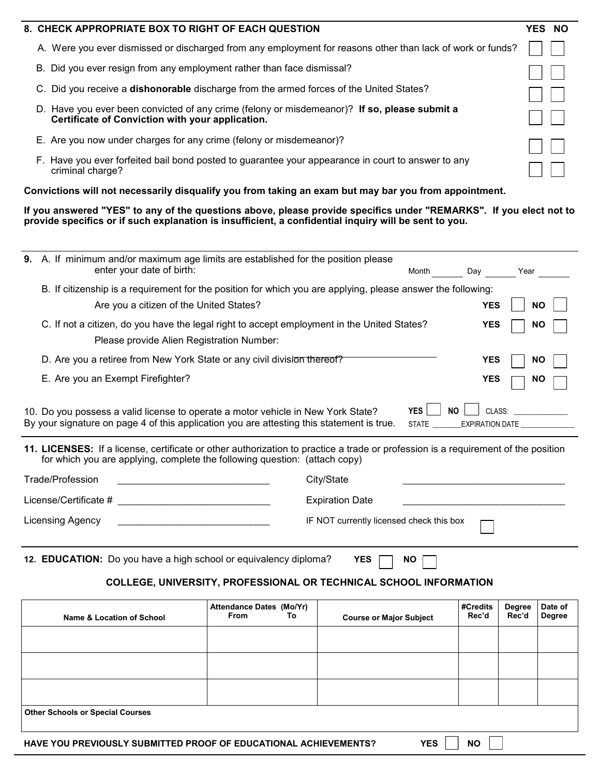| 8. CHECK APPROPRIATE BOX TO RIGHT OF EACH QUESTION                                                                                               | YES NO |
|--------------------------------------------------------------------------------------------------------------------------------------------------|--------|
| A. Were you ever dismissed or discharged from any employment for reasons other than lack of work or funds?                                       |        |
| B. Did you ever resign from any employment rather than face dismissal?                                                                           |        |
| C. Did you receive a <b>dishonorable</b> discharge from the armed forces of the United States?                                                   |        |
| D. Have you ever been convicted of any crime (felony or misdemeanor)? If so, please submit a<br>Certificate of Conviction with your application. |        |
| E. Are you now under charges for any crime (felony or misdemeanor)?                                                                              |        |
| F. Have you ever forfeited bail bond posted to guarantee your appearance in court to answer to any<br>criminal charge?                           |        |

## **Convictions will not necessarily disqualify you from taking an exam but may bar you from appointment.**

**If you answered "YES" to any of the questions above, please provide specifics under "REMARKS". If you elect not to provide specifics or if such explanation is insufficient, a confidential inquiry will be sent to you.**

| <b>9.</b> A. If minimum and/or maximum age limits are established for the position please<br>enter your date of birth:                                                        | Month                      | Day                                     | Year      |
|-------------------------------------------------------------------------------------------------------------------------------------------------------------------------------|----------------------------|-----------------------------------------|-----------|
| B. If citizenship is a requirement for the position for which you are applying, please answer the following:<br>Are you a citizen of the United States?                       |                            | <b>YES</b>                              | <b>NO</b> |
| C. If not a citizen, do you have the legal right to accept employment in the United States?<br>Please provide Alien Registration Number:                                      |                            | <b>YES</b>                              | <b>NO</b> |
| D. Are you a retiree from New York State or any civil division thereof?                                                                                                       |                            | <b>YES</b>                              | <b>NO</b> |
| E. Are you an Exempt Firefighter?                                                                                                                                             |                            | <b>YES</b>                              | NΟ        |
| 10. Do you possess a valid license to operate a motor vehicle in New York State?<br>By your signature on page 4 of this application you are attesting this statement is true. | <b>YES</b><br><b>STATE</b> | NO.<br>CLASS:<br><b>EXPIRATION DATE</b> |           |

**11. LICENSES:** If a license, certificate or other authorization to practice a trade or profession is a requirement of the position for which you are applying, complete the following question: (attach copy)

| Trade/Profession        | City/State                               |
|-------------------------|------------------------------------------|
| License/Certificate $#$ | <b>Expiration Date</b>                   |
| Licensing Agency        | IF NOT currently licensed check this box |

**12. EDUCATION:** Do you have a high school or equivalency diploma? **YES**  $\Box$  NO  $\Box$ 

# **COLLEGE, UNIVERSITY, PROFESSIONAL OR TECHNICAL SCHOOL INFORMATION**

| Name & Location of School                                                                   | Attendance Dates (Mo/Yr)<br><b>From</b><br>To | <b>Course or Major Subject</b> | #Credits<br>Rec'd | Degree<br>Rec'd | Date of<br><b>Degree</b> |  |  |
|---------------------------------------------------------------------------------------------|-----------------------------------------------|--------------------------------|-------------------|-----------------|--------------------------|--|--|
|                                                                                             |                                               |                                |                   |                 |                          |  |  |
|                                                                                             |                                               |                                |                   |                 |                          |  |  |
|                                                                                             |                                               |                                |                   |                 |                          |  |  |
| <b>Other Schools or Special Courses</b>                                                     |                                               |                                |                   |                 |                          |  |  |
| <b>HAVE YOU PREVIOUSLY SUBMITTED PROOF OF EDUCATIONAL ACHIEVEMENTS?</b><br>NΟ<br><b>YES</b> |                                               |                                |                   |                 |                          |  |  |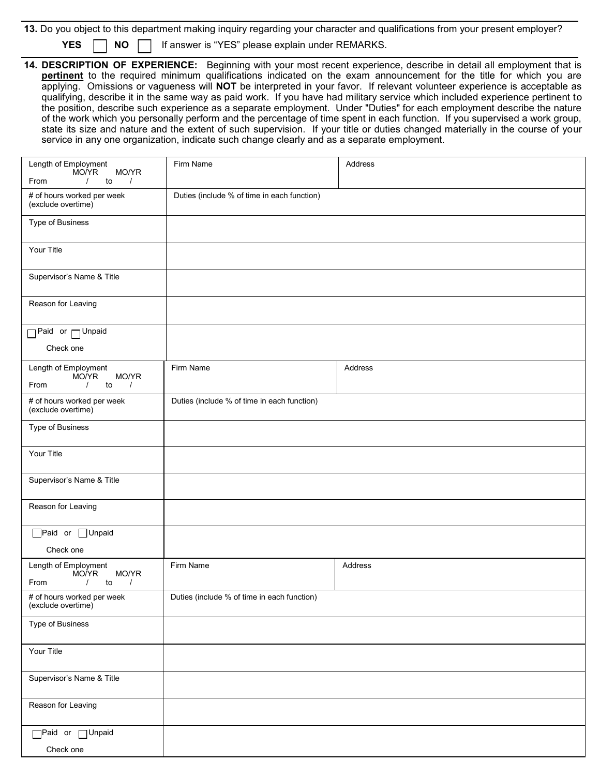|  | 13. Do you object to this department making inquiry regarding your character and qualifications from your present employer? |
|--|-----------------------------------------------------------------------------------------------------------------------------|
|  | <b>YES</b> $\Box$ <b>NO</b> $\Box$ If answer is "YES" please explain under REMARKS.                                         |

**14. DESCRIPTION OF EXPERIENCE:** Beginning with your most recent experience, describe in detail all employment that is **pertinent** to the required minimum qualifications indicated on the exam announcement for the title for which you are applying. Omissions or vagueness will **NOT** be interpreted in your favor. If relevant volunteer experience is acceptable as qualifying, describe it in the same way as paid work. If you have had military service which included experience pertinent to the position, describe such experience as a separate employment. Under "Duties" for each employment describe the nature of the work which you personally perform and the percentage of time spent in each function. If you supervised a work group, state its size and nature and the extent of such supervision. If your title or duties changed materially in the course of your service in any one organization, indicate such change clearly and as a separate employment.

| Length of Employment<br>MO/YR<br>MO/YR<br>From<br>$\prime$<br>to<br>$\prime$     | Firm Name                                   | Address |  |  |
|----------------------------------------------------------------------------------|---------------------------------------------|---------|--|--|
| # of hours worked per week<br>(exclude overtime)                                 | Duties (include % of time in each function) |         |  |  |
| Type of Business                                                                 |                                             |         |  |  |
| Your Title                                                                       |                                             |         |  |  |
| Supervisor's Name & Title                                                        |                                             |         |  |  |
| Reason for Leaving                                                               |                                             |         |  |  |
| <b>Paid or <sub>D</sub>Unpaid</b><br>Check one                                   |                                             |         |  |  |
|                                                                                  |                                             |         |  |  |
| Length of Employment<br>MO/YR<br>MO/YR<br>to<br>From<br>$\sqrt{2}$<br>$\sqrt{2}$ | Firm Name                                   | Address |  |  |
| # of hours worked per week<br>(exclude overtime)                                 | Duties (include % of time in each function) |         |  |  |
| Type of Business                                                                 |                                             |         |  |  |
| Your Title                                                                       |                                             |         |  |  |
| Supervisor's Name & Title                                                        |                                             |         |  |  |
| Reason for Leaving                                                               |                                             |         |  |  |
| Paid or Unpaid                                                                   |                                             |         |  |  |
| Check one                                                                        |                                             |         |  |  |
| Length of Employment<br>MO/YR<br>MO/YR<br>to<br>$\prime$<br>$\prime$<br>From     | Firm Name                                   | Address |  |  |
| # of hours worked per week<br>(exclude overtime)                                 | Duties (include % of time in each function) |         |  |  |
| Type of Business                                                                 |                                             |         |  |  |
| Your Title                                                                       |                                             |         |  |  |
| Supervisor's Name & Title                                                        |                                             |         |  |  |
| Reason for Leaving                                                               |                                             |         |  |  |
| Paid or Unpaid                                                                   |                                             |         |  |  |
| Check one                                                                        |                                             |         |  |  |